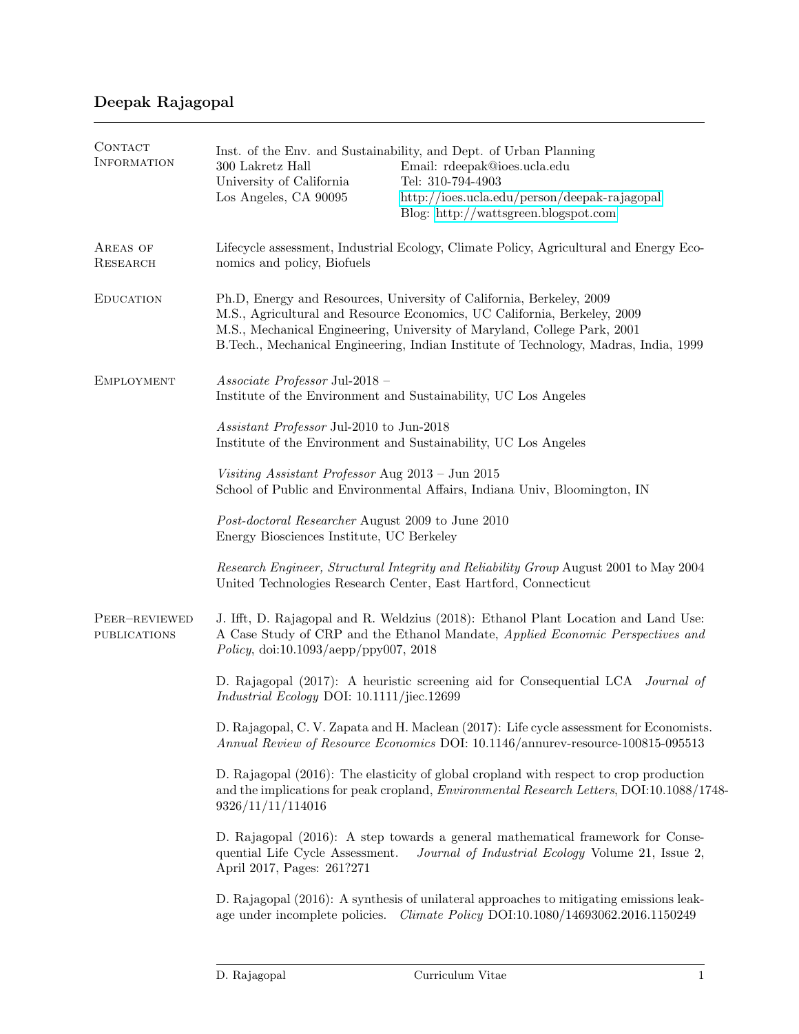| CONTACT<br><b>INFORMATION</b>        | 300 Lakretz Hall<br>University of California<br>Los Angeles, CA 90095                                                                                                                                                                                                                                                | Inst. of the Env. and Sustainability, and Dept. of Urban Planning<br>Email: rdeepak@ioes.ucla.edu<br>Tel: 310-794-4903<br>http://ioes.ucla.edu/person/deepak-rajagopal<br>Blog: http://wattsgreen.blogspot.com |
|--------------------------------------|----------------------------------------------------------------------------------------------------------------------------------------------------------------------------------------------------------------------------------------------------------------------------------------------------------------------|----------------------------------------------------------------------------------------------------------------------------------------------------------------------------------------------------------------|
| AREAS OF<br>RESEARCH                 | Lifecycle assessment, Industrial Ecology, Climate Policy, Agricultural and Energy Eco-<br>nomics and policy, Biofuels                                                                                                                                                                                                |                                                                                                                                                                                                                |
| <b>EDUCATION</b>                     | Ph.D, Energy and Resources, University of California, Berkeley, 2009<br>M.S., Agricultural and Resource Economics, UC California, Berkeley, 2009<br>M.S., Mechanical Engineering, University of Maryland, College Park, 2001<br>B.Tech., Mechanical Engineering, Indian Institute of Technology, Madras, India, 1999 |                                                                                                                                                                                                                |
| <b>EMPLOYMENT</b>                    | $Associate$ Professor Jul-2018 -<br>Institute of the Environment and Sustainability, UC Los Angeles                                                                                                                                                                                                                  |                                                                                                                                                                                                                |
|                                      | Assistant Professor Jul-2010 to Jun-2018<br>Institute of the Environment and Sustainability, UC Los Angeles                                                                                                                                                                                                          |                                                                                                                                                                                                                |
|                                      | Visiting Assistant Professor Aug 2013 - Jun 2015                                                                                                                                                                                                                                                                     | School of Public and Environmental Affairs, Indiana Univ, Bloomington, IN                                                                                                                                      |
|                                      | Post-doctoral Researcher August 2009 to June 2010<br>Energy Biosciences Institute, UC Berkeley                                                                                                                                                                                                                       |                                                                                                                                                                                                                |
|                                      |                                                                                                                                                                                                                                                                                                                      | Research Engineer, Structural Integrity and Reliability Group August 2001 to May 2004<br>United Technologies Research Center, East Hartford, Connecticut                                                       |
| PEER-REVIEWED<br><b>PUBLICATIONS</b> | Policy, doi:10.1093/aepp/ppy007, 2018                                                                                                                                                                                                                                                                                | J. Ifft, D. Rajagopal and R. Weldzius (2018): Ethanol Plant Location and Land Use:<br>A Case Study of CRP and the Ethanol Mandate, Applied Economic Perspectives and                                           |
|                                      | Industrial Ecology DOI: 10.1111/jiec.12699                                                                                                                                                                                                                                                                           | D. Rajagopal (2017): A heuristic screening aid for Consequential LCA <i>Journal of</i>                                                                                                                         |
|                                      |                                                                                                                                                                                                                                                                                                                      | D. Rajagopal, C. V. Zapata and H. Maclean (2017): Life cycle assessment for Economists.<br>Annual Review of Resource Economics DOI: 10.1146/annurev-resource-100815-095513                                     |
|                                      | 9326/11/11/114016                                                                                                                                                                                                                                                                                                    | D. Rajagopal (2016): The elasticity of global cropland with respect to crop production<br>and the implications for peak cropland, <i>Environmental Research Letters</i> , DOI:10.1088/1748-                    |
|                                      | quential Life Cycle Assessment.<br>April 2017, Pages: 261?271                                                                                                                                                                                                                                                        | D. Rajagopal (2016): A step towards a general mathematical framework for Conse-<br>Journal of Industrial Ecology Volume 21, Issue 2,                                                                           |
|                                      |                                                                                                                                                                                                                                                                                                                      | D. Rajagopal (2016): A synthesis of unilateral approaches to mitigating emissions leak-<br>age under incomplete policies. Climate Policy DOI:10.1080/14693062.2016.1150249                                     |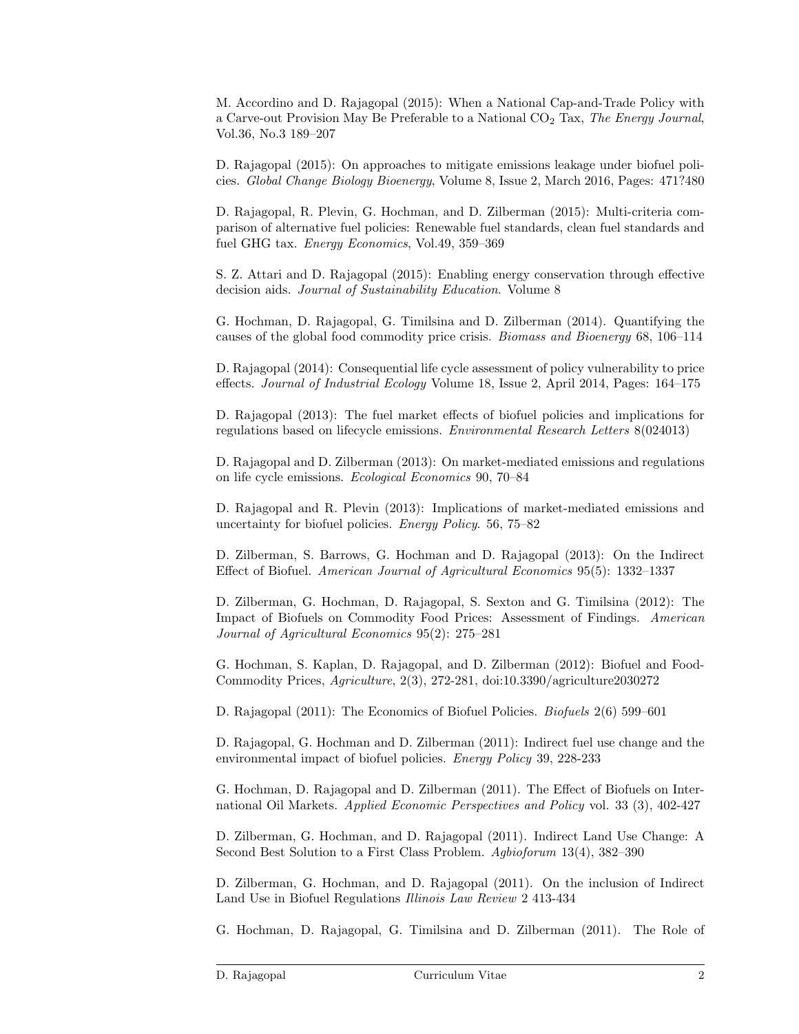M. Accordino and D. Rajagopal (2015): When a National Cap-and-Trade Policy with a Carve-out Provision May Be Preferable to a National CO<sub>2</sub> Tax, The Energy Journal, Vol.36, No.3 189–207

D. Rajagopal (2015): On approaches to mitigate emissions leakage under biofuel policies. Global Change Biology Bioenergy, Volume 8, Issue 2, March 2016, Pages: 471?480

D. Rajagopal, R. Plevin, G. Hochman, and D. Zilberman (2015): Multi-criteria comparison of alternative fuel policies: Renewable fuel standards, clean fuel standards and fuel GHG tax. Energy Economics, Vol.49, 359–369

S. Z. Attari and D. Rajagopal (2015): Enabling energy conservation through effective decision aids. *Journal of Sustainability Education*. Volume 8

G. Hochman, D. Rajagopal, G. Timilsina and D. Zilberman (2014). Quantifying the causes of the global food commodity price crisis. Biomass and Bioenergy 68, 106–114

D. Rajagopal (2014): Consequential life cycle assessment of policy vulnerability to price effects. Journal of Industrial Ecology Volume 18, Issue 2, April 2014, Pages: 164–175

D. Rajagopal (2013): The fuel market effects of biofuel policies and implications for regulations based on lifecycle emissions. Environmental Research Letters 8(024013)

D. Rajagopal and D. Zilberman (2013): On market-mediated emissions and regulations on life cycle emissions. Ecological Economics 90, 70–84

D. Rajagopal and R. Plevin (2013): Implications of market-mediated emissions and uncertainty for biofuel policies. Energy Policy. 56, 75–82

D. Zilberman, S. Barrows, G. Hochman and D. Rajagopal (2013): On the Indirect Effect of Biofuel. American Journal of Agricultural Economics 95(5): 1332–1337

D. Zilberman, G. Hochman, D. Rajagopal, S. Sexton and G. Timilsina (2012): The Impact of Biofuels on Commodity Food Prices: Assessment of Findings. American Journal of Agricultural Economics 95(2): 275–281

G. Hochman, S. Kaplan, D. Rajagopal, and D. Zilberman (2012): Biofuel and Food-Commodity Prices, Agriculture, 2(3), 272-281, doi:10.3390/agriculture2030272

D. Rajagopal (2011): The Economics of Biofuel Policies. Biofuels 2(6) 599–601

D. Rajagopal, G. Hochman and D. Zilberman (2011): Indirect fuel use change and the environmental impact of biofuel policies. Energy Policy 39, 228-233

G. Hochman, D. Rajagopal and D. Zilberman (2011). The Effect of Biofuels on International Oil Markets. Applied Economic Perspectives and Policy vol. 33 (3), 402-427

D. Zilberman, G. Hochman, and D. Rajagopal (2011). Indirect Land Use Change: A Second Best Solution to a First Class Problem. Agbioforum 13(4), 382–390

D. Zilberman, G. Hochman, and D. Rajagopal (2011). On the inclusion of Indirect Land Use in Biofuel Regulations Illinois Law Review 2 413-434

G. Hochman, D. Rajagopal, G. Timilsina and D. Zilberman (2011). The Role of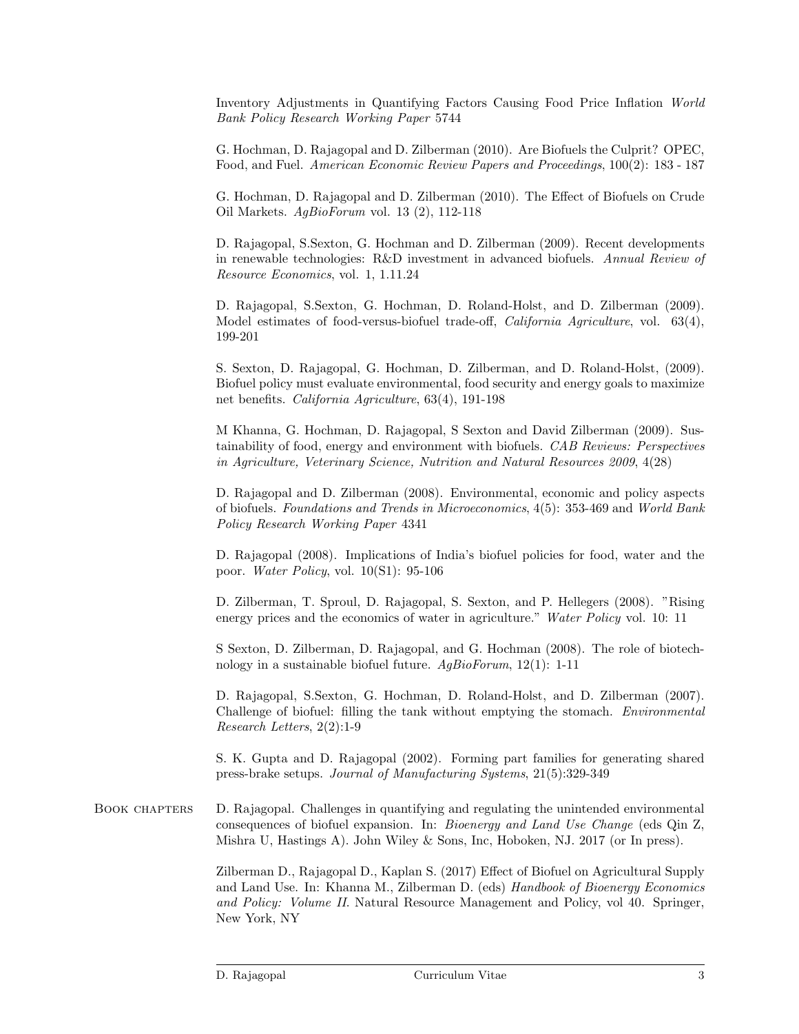Inventory Adjustments in Quantifying Factors Causing Food Price Inflation World Bank Policy Research Working Paper 5744

G. Hochman, D. Rajagopal and D. Zilberman (2010). Are Biofuels the Culprit? OPEC, Food, and Fuel. American Economic Review Papers and Proceedings, 100(2): 183 - 187

G. Hochman, D. Rajagopal and D. Zilberman (2010). The Effect of Biofuels on Crude Oil Markets. AgBioForum vol. 13 (2), 112-118

D. Rajagopal, S.Sexton, G. Hochman and D. Zilberman (2009). Recent developments in renewable technologies: R&D investment in advanced biofuels. Annual Review of Resource Economics, vol. 1, 1.11.24

D. Rajagopal, S.Sexton, G. Hochman, D. Roland-Holst, and D. Zilberman (2009). Model estimates of food-versus-biofuel trade-off, *California Agriculture*, vol. 63(4), 199-201

S. Sexton, D. Rajagopal, G. Hochman, D. Zilberman, and D. Roland-Holst, (2009). Biofuel policy must evaluate environmental, food security and energy goals to maximize net benefits. California Agriculture, 63(4), 191-198

M Khanna, G. Hochman, D. Rajagopal, S Sexton and David Zilberman (2009). Sustainability of food, energy and environment with biofuels. CAB Reviews: Perspectives in Agriculture, Veterinary Science, Nutrition and Natural Resources 2009, 4(28)

D. Rajagopal and D. Zilberman (2008). Environmental, economic and policy aspects of biofuels. Foundations and Trends in Microeconomics, 4(5): 353-469 and World Bank Policy Research Working Paper 4341

D. Rajagopal (2008). Implications of India's biofuel policies for food, water and the poor. Water Policy, vol. 10(S1): 95-106

D. Zilberman, T. Sproul, D. Rajagopal, S. Sexton, and P. Hellegers (2008). "Rising energy prices and the economics of water in agriculture." Water Policy vol. 10: 11

S Sexton, D. Zilberman, D. Rajagopal, and G. Hochman (2008). The role of biotechnology in a sustainable biofuel future.  $AqBioForm$ , 12(1): 1-11

D. Rajagopal, S.Sexton, G. Hochman, D. Roland-Holst, and D. Zilberman (2007). Challenge of biofuel: filling the tank without emptying the stomach. Environmental Research Letters, 2(2):1-9

S. K. Gupta and D. Rajagopal (2002). Forming part families for generating shared press-brake setups. Journal of Manufacturing Systems, 21(5):329-349

BOOK CHAPTERS D. Rajagopal. Challenges in quantifying and regulating the unintended environmental consequences of biofuel expansion. In: Bioenergy and Land Use Change (eds Qin Z, Mishra U, Hastings A). John Wiley & Sons, Inc, Hoboken, NJ. 2017 (or In press).

> Zilberman D., Rajagopal D., Kaplan S. (2017) Effect of Biofuel on Agricultural Supply and Land Use. In: Khanna M., Zilberman D. (eds) Handbook of Bioenergy Economics and Policy: Volume II. Natural Resource Management and Policy, vol 40. Springer, New York, NY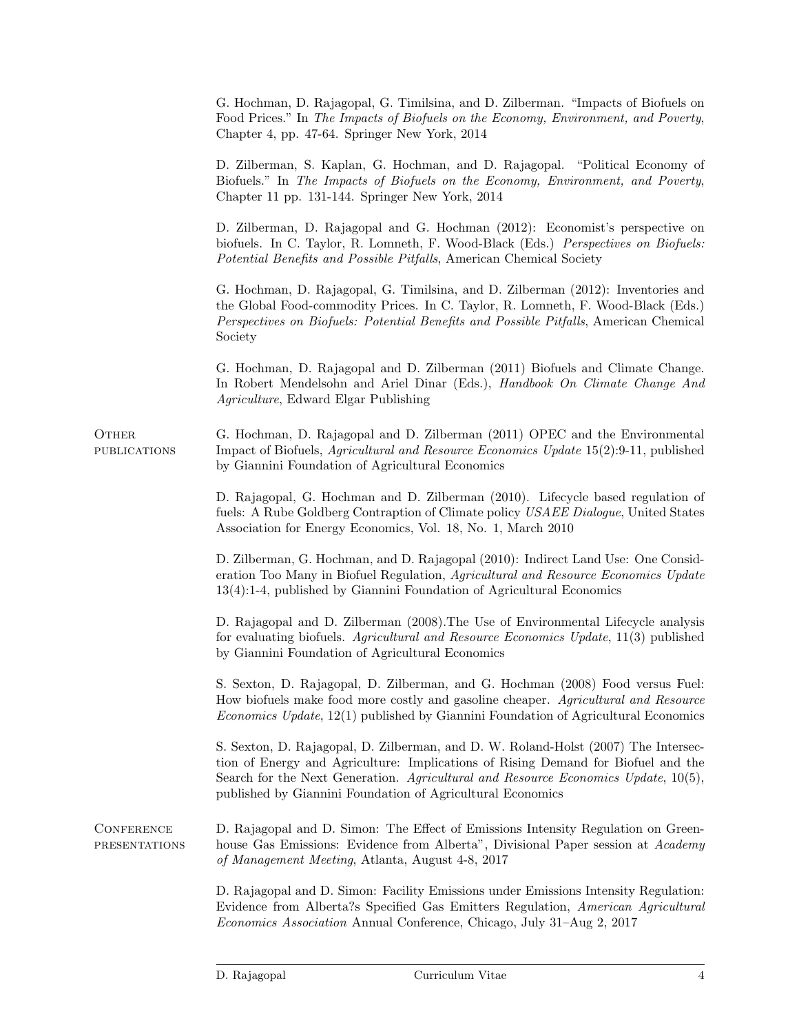|                                           | G. Hochman, D. Rajagopal, G. Timilsina, and D. Zilberman. "Impacts of Biofuels on<br>Food Prices." In The Impacts of Biofuels on the Economy, Environment, and Poverty,<br>Chapter 4, pp. 47-64. Springer New York, 2014                                                                                                    |
|-------------------------------------------|-----------------------------------------------------------------------------------------------------------------------------------------------------------------------------------------------------------------------------------------------------------------------------------------------------------------------------|
|                                           | D. Zilberman, S. Kaplan, G. Hochman, and D. Rajagopal. "Political Economy of<br>Biofuels." In The Impacts of Biofuels on the Economy, Environment, and Poverty,<br>Chapter 11 pp. 131-144. Springer New York, 2014                                                                                                          |
|                                           | D. Zilberman, D. Rajagopal and G. Hochman (2012): Economist's perspective on<br>biofuels. In C. Taylor, R. Lomneth, F. Wood-Black (Eds.) Perspectives on Biofuels:<br>Potential Benefits and Possible Pitfalls, American Chemical Society                                                                                   |
|                                           | G. Hochman, D. Rajagopal, G. Timilsina, and D. Zilberman (2012): Inventories and<br>the Global Food-commodity Prices. In C. Taylor, R. Lomneth, F. Wood-Black (Eds.)<br>Perspectives on Biofuels: Potential Benefits and Possible Pitfalls, American Chemical<br>Society                                                    |
|                                           | G. Hochman, D. Rajagopal and D. Zilberman (2011) Biofuels and Climate Change.<br>In Robert Mendelsohn and Ariel Dinar (Eds.), Handbook On Climate Change And<br><i>Agriculture</i> , Edward Elgar Publishing                                                                                                                |
| <b>OTHER</b><br><b>PUBLICATIONS</b>       | G. Hochman, D. Rajagopal and D. Zilberman (2011) OPEC and the Environmental<br>Impact of Biofuels, <i>Agricultural and Resource Economics Update</i> 15(2):9-11, published<br>by Giannini Foundation of Agricultural Economics                                                                                              |
|                                           | D. Rajagopal, G. Hochman and D. Zilberman (2010). Lifecycle based regulation of<br>fuels: A Rube Goldberg Contraption of Climate policy USAEE Dialogue, United States<br>Association for Energy Economics, Vol. 18, No. 1, March 2010                                                                                       |
|                                           | D. Zilberman, G. Hochman, and D. Rajagopal (2010): Indirect Land Use: One Consid-<br>eration Too Many in Biofuel Regulation, Agricultural and Resource Economics Update<br>$13(4):1-4$ , published by Giannini Foundation of Agricultural Economics                                                                         |
|                                           | D. Rajagopal and D. Zilberman (2008). The Use of Environmental Lifecycle analysis<br>for evaluating biofuels. Agricultural and Resource Economics Update, 11(3) published<br>by Giannini Foundation of Agricultural Economics                                                                                               |
|                                           | S. Sexton, D. Rajagopal, D. Zilberman, and G. Hochman (2008) Food versus Fuel:<br>How biofuels make food more costly and gasoline cheaper. Agricultural and Resource<br>Economics Update, 12(1) published by Giannini Foundation of Agricultural Economics                                                                  |
|                                           | S. Sexton, D. Rajagopal, D. Zilberman, and D. W. Roland-Holst (2007) The Intersec-<br>tion of Energy and Agriculture: Implications of Rising Demand for Biofuel and the<br>Search for the Next Generation. Agricultural and Resource Economics Update, 10(5),<br>published by Giannini Foundation of Agricultural Economics |
| <b>CONFERENCE</b><br><b>PRESENTATIONS</b> | D. Rajagopal and D. Simon: The Effect of Emissions Intensity Regulation on Green-<br>house Gas Emissions: Evidence from Alberta", Divisional Paper session at Academy<br>of Management Meeting, Atlanta, August 4-8, 2017                                                                                                   |
|                                           | D. Rajagopal and D. Simon: Facility Emissions under Emissions Intensity Regulation:<br>Evidence from Alberta?s Specified Gas Emitters Regulation, American Agricultural<br><i>Economics Association</i> Annual Conference, Chicago, July 31-Aug 2, 2017                                                                     |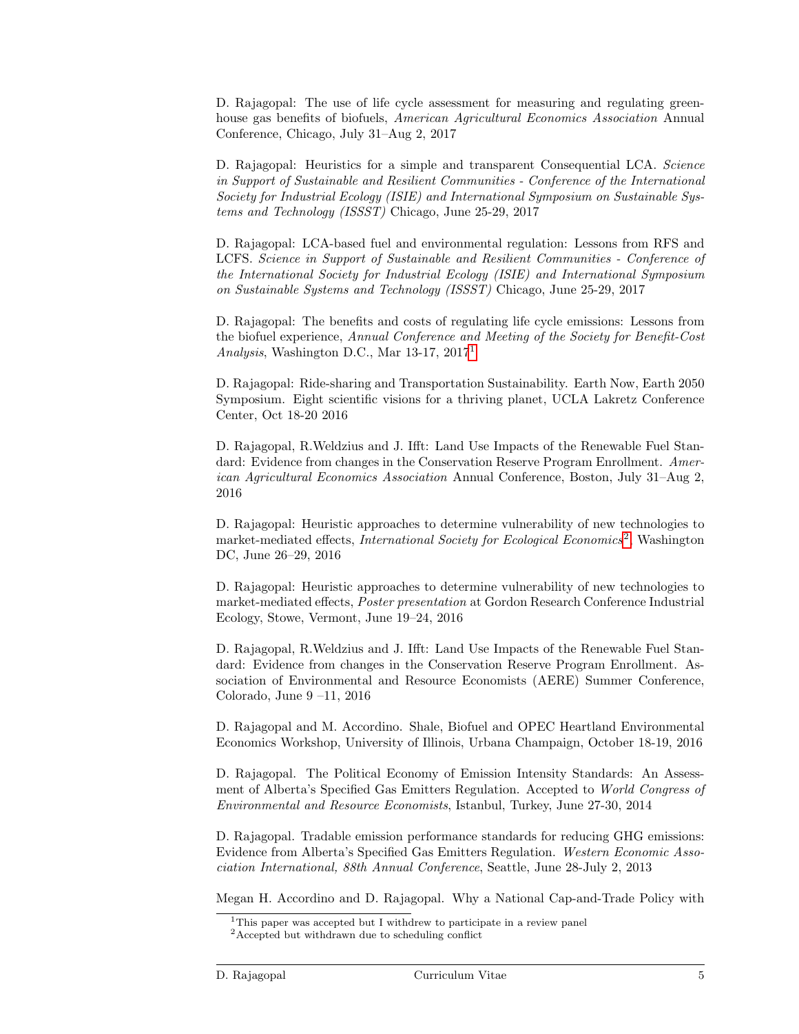D. Rajagopal: The use of life cycle assessment for measuring and regulating greenhouse gas benefits of biofuels, American Agricultural Economics Association Annual Conference, Chicago, July 31–Aug 2, 2017

D. Rajagopal: Heuristics for a simple and transparent Consequential LCA. Science in Support of Sustainable and Resilient Communities - Conference of the International Society for Industrial Ecology (ISIE) and International Symposium on Sustainable Systems and Technology (ISSST) Chicago, June 25-29, 2017

D. Rajagopal: LCA-based fuel and environmental regulation: Lessons from RFS and LCFS. Science in Support of Sustainable and Resilient Communities - Conference of the International Society for Industrial Ecology (ISIE) and International Symposium on Sustainable Systems and Technology (ISSST) Chicago, June 25-29, 2017

D. Rajagopal: The benefits and costs of regulating life cycle emissions: Lessons from the biofuel experience, Annual Conference and Meeting of the Society for Benefit-Cost Analysis, Washington D.C., Mar 13-17, 2017[1](#page-4-0)

D. Rajagopal: Ride-sharing and Transportation Sustainability. Earth Now, Earth 2050 Symposium. Eight scientific visions for a thriving planet, UCLA Lakretz Conference Center, Oct 18-20 2016

D. Rajagopal, R.Weldzius and J. Ifft: Land Use Impacts of the Renewable Fuel Standard: Evidence from changes in the Conservation Reserve Program Enrollment. American Agricultural Economics Association Annual Conference, Boston, July 31–Aug 2, 2016

D. Rajagopal: Heuristic approaches to determine vulnerability of new technologies to market-mediated effects, International Society for Ecological Economics<sup>[2](#page-4-1)</sup>, Washington DC, June 26–29, 2016

D. Rajagopal: Heuristic approaches to determine vulnerability of new technologies to market-mediated effects, Poster presentation at Gordon Research Conference Industrial Ecology, Stowe, Vermont, June 19–24, 2016

D. Rajagopal, R.Weldzius and J. Ifft: Land Use Impacts of the Renewable Fuel Standard: Evidence from changes in the Conservation Reserve Program Enrollment. Association of Environmental and Resource Economists (AERE) Summer Conference, Colorado, June 9 –11, 2016

D. Rajagopal and M. Accordino. Shale, Biofuel and OPEC Heartland Environmental Economics Workshop, University of Illinois, Urbana Champaign, October 18-19, 2016

D. Rajagopal. The Political Economy of Emission Intensity Standards: An Assessment of Alberta's Specified Gas Emitters Regulation. Accepted to World Congress of Environmental and Resource Economists, Istanbul, Turkey, June 27-30, 2014

D. Rajagopal. Tradable emission performance standards for reducing GHG emissions: Evidence from Alberta's Specified Gas Emitters Regulation. Western Economic Association International, 88th Annual Conference, Seattle, June 28-July 2, 2013

Megan H. Accordino and D. Rajagopal. Why a National Cap-and-Trade Policy with

<span id="page-4-0"></span><sup>&</sup>lt;sup>1</sup>This paper was accepted but I withdrew to participate in a review panel

<span id="page-4-1"></span><sup>&</sup>lt;sup>2</sup>Accepted but withdrawn due to scheduling conflict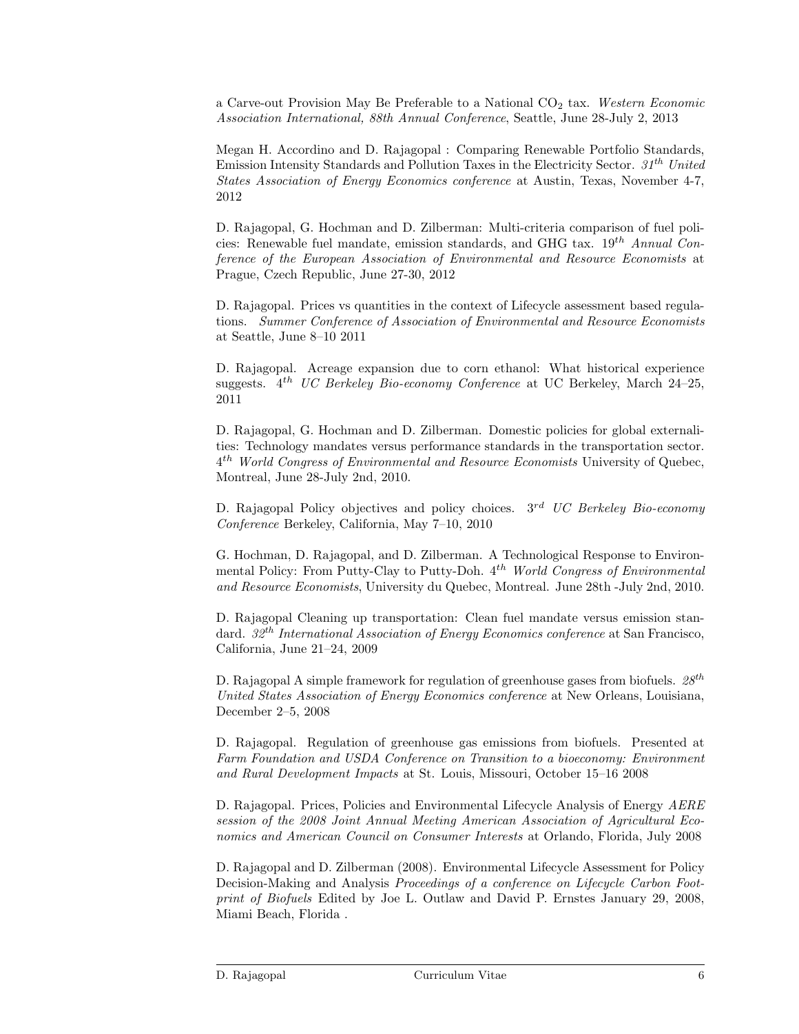a Carve-out Provision May Be Preferable to a National  $CO<sub>2</sub>$  tax. Western Economic Association International, 88th Annual Conference, Seattle, June 28-July 2, 2013

Megan H. Accordino and D. Rajagopal : Comparing Renewable Portfolio Standards, Emission Intensity Standards and Pollution Taxes in the Electricity Sector.  $31<sup>th</sup> United$ States Association of Energy Economics conference at Austin, Texas, November 4-7, 2012

D. Rajagopal, G. Hochman and D. Zilberman: Multi-criteria comparison of fuel policies: Renewable fuel mandate, emission standards, and GHG tax.  $19^{th}$  Annual Conference of the European Association of Environmental and Resource Economists at Prague, Czech Republic, June 27-30, 2012

D. Rajagopal. Prices vs quantities in the context of Lifecycle assessment based regulations. Summer Conference of Association of Environmental and Resource Economists at Seattle, June 8–10 2011

D. Rajagopal. Acreage expansion due to corn ethanol: What historical experience suggests.  $4^{th}$  UC Berkeley Bio-economy Conference at UC Berkeley, March 24–25, 2011

D. Rajagopal, G. Hochman and D. Zilberman. Domestic policies for global externalities: Technology mandates versus performance standards in the transportation sector.  $4^{th}$  World Congress of Environmental and Resource Economists University of Quebec, Montreal, June 28-July 2nd, 2010.

D. Rajagopal Policy objectives and policy choices.  $3^{rd}$  UC Berkeley Bio-economy Conference Berkeley, California, May 7–10, 2010

G. Hochman, D. Rajagopal, and D. Zilberman. A Technological Response to Environmental Policy: From Putty-Clay to Putty-Doh.  $4^{th}$  World Congress of Environmental and Resource Economists, University du Quebec, Montreal. June 28th -July 2nd, 2010.

D. Rajagopal Cleaning up transportation: Clean fuel mandate versus emission standard.  $32^{th}$  International Association of Energy Economics conference at San Francisco, California, June 21–24, 2009

D. Rajagopal A simple framework for regulation of greenhouse gases from biofuels.  $28^{th}$ United States Association of Energy Economics conference at New Orleans, Louisiana, December 2–5, 2008

D. Rajagopal. Regulation of greenhouse gas emissions from biofuels. Presented at Farm Foundation and USDA Conference on Transition to a bioeconomy: Environment and Rural Development Impacts at St. Louis, Missouri, October 15–16 2008

D. Rajagopal. Prices, Policies and Environmental Lifecycle Analysis of Energy AERE session of the 2008 Joint Annual Meeting American Association of Agricultural Economics and American Council on Consumer Interests at Orlando, Florida, July 2008

D. Rajagopal and D. Zilberman (2008). Environmental Lifecycle Assessment for Policy Decision-Making and Analysis Proceedings of a conference on Lifecycle Carbon Footprint of Biofuels Edited by Joe L. Outlaw and David P. Ernstes January 29, 2008, Miami Beach, Florida .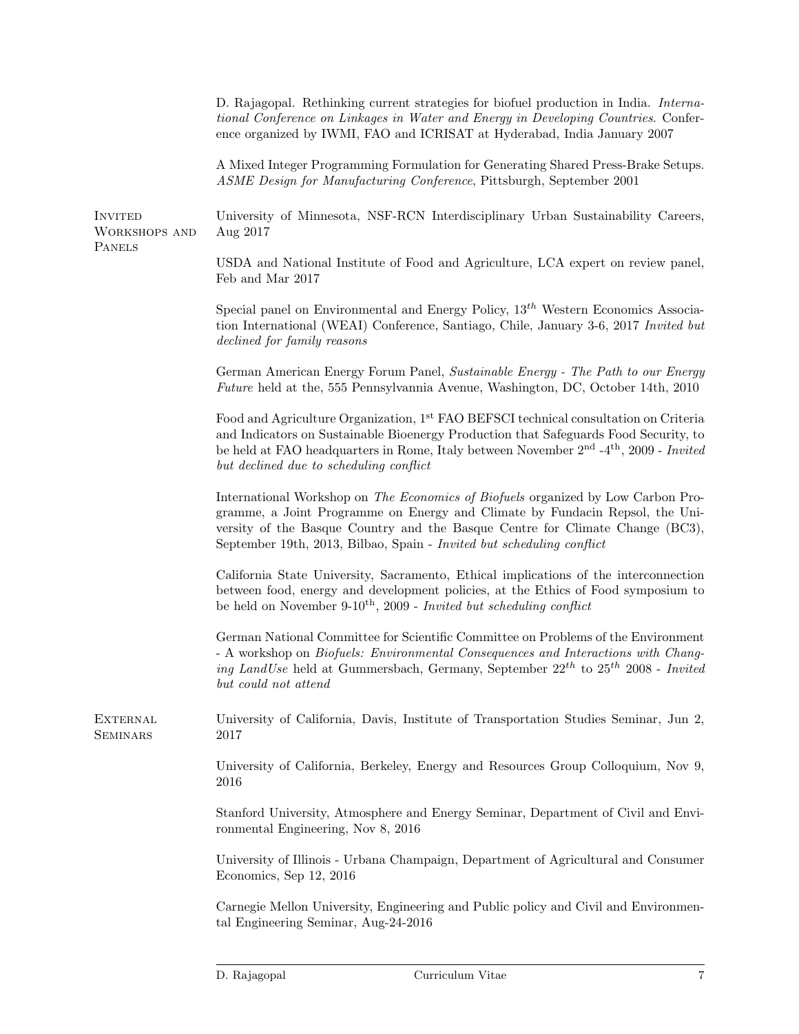| ASME Design for Manufacturing Conference, Pittsburgh, September 2001<br><b>INVITED</b><br>Aug 2017<br><b>WORKSHOPS AND</b><br><b>PANELS</b><br>Feb and Mar 2017<br>declined for family reasons<br>but declined due to scheduling conflict<br>September 19th, 2013, Bilbao, Spain - Invited but scheduling conflict<br>be held on November 9-10 <sup>th</sup> , 2009 - Invited but scheduling conflict<br>but could not attend<br><b>EXTERNAL</b><br>2017<br><b>SEMINARS</b><br>2016<br>ronmental Engineering, Nov 8, 2016<br>Economics, Sep 12, 2016 |  | D. Rajagopal. Rethinking current strategies for biofuel production in India. Interna-<br>tional Conference on Linkages in Water and Energy in Developing Countries. Confer-<br>ence organized by IWMI, FAO and ICRISAT at Hyderabad, India January 2007                                                          |
|------------------------------------------------------------------------------------------------------------------------------------------------------------------------------------------------------------------------------------------------------------------------------------------------------------------------------------------------------------------------------------------------------------------------------------------------------------------------------------------------------------------------------------------------------|--|------------------------------------------------------------------------------------------------------------------------------------------------------------------------------------------------------------------------------------------------------------------------------------------------------------------|
|                                                                                                                                                                                                                                                                                                                                                                                                                                                                                                                                                      |  | A Mixed Integer Programming Formulation for Generating Shared Press-Brake Setups.                                                                                                                                                                                                                                |
|                                                                                                                                                                                                                                                                                                                                                                                                                                                                                                                                                      |  | University of Minnesota, NSF-RCN Interdisciplinary Urban Sustainability Careers,                                                                                                                                                                                                                                 |
|                                                                                                                                                                                                                                                                                                                                                                                                                                                                                                                                                      |  | USDA and National Institute of Food and Agriculture, LCA expert on review panel,                                                                                                                                                                                                                                 |
|                                                                                                                                                                                                                                                                                                                                                                                                                                                                                                                                                      |  | Special panel on Environmental and Energy Policy, $13^{th}$ Western Economics Associa-<br>tion International (WEAI) Conference, Santiago, Chile, January 3-6, 2017 Invited but                                                                                                                                   |
|                                                                                                                                                                                                                                                                                                                                                                                                                                                                                                                                                      |  | German American Energy Forum Panel, Sustainable Energy - The Path to our Energy<br><i>Future</i> held at the, 555 Pennsylvannia Avenue, Washington, DC, October 14th, 2010                                                                                                                                       |
|                                                                                                                                                                                                                                                                                                                                                                                                                                                                                                                                                      |  | Food and Agriculture Organization, 1 <sup>st</sup> FAO BEFSCI technical consultation on Criteria<br>and Indicators on Sustainable Bioenergy Production that Safeguards Food Security, to<br>be held at FAO headquarters in Rome, Italy between November 2 <sup>nd</sup> -4 <sup>th</sup> , 2009 - <i>Invited</i> |
|                                                                                                                                                                                                                                                                                                                                                                                                                                                                                                                                                      |  | International Workshop on The Economics of Biofuels organized by Low Carbon Pro-<br>gramme, a Joint Programme on Energy and Climate by Fundacin Repsol, the Uni-<br>versity of the Basque Country and the Basque Centre for Climate Change (BC3),                                                                |
|                                                                                                                                                                                                                                                                                                                                                                                                                                                                                                                                                      |  | California State University, Sacramento, Ethical implications of the interconnection<br>between food, energy and development policies, at the Ethics of Food symposium to                                                                                                                                        |
|                                                                                                                                                                                                                                                                                                                                                                                                                                                                                                                                                      |  | German National Committee for Scientific Committee on Problems of the Environment<br>- A workshop on <i>Biofuels: Environmental Consequences and Interactions with Chang-</i><br>ing LandUse held at Gummersbach, Germany, September 22 <sup>th</sup> to 25 <sup>th</sup> 2008 - Invited                         |
|                                                                                                                                                                                                                                                                                                                                                                                                                                                                                                                                                      |  | University of California, Davis, Institute of Transportation Studies Seminar, Jun 2,                                                                                                                                                                                                                             |
|                                                                                                                                                                                                                                                                                                                                                                                                                                                                                                                                                      |  | University of California, Berkeley, Energy and Resources Group Colloquium, Nov 9,                                                                                                                                                                                                                                |
|                                                                                                                                                                                                                                                                                                                                                                                                                                                                                                                                                      |  | Stanford University, Atmosphere and Energy Seminar, Department of Civil and Envi-                                                                                                                                                                                                                                |
|                                                                                                                                                                                                                                                                                                                                                                                                                                                                                                                                                      |  | University of Illinois - Urbana Champaign, Department of Agricultural and Consumer                                                                                                                                                                                                                               |
| tal Engineering Seminar, Aug-24-2016                                                                                                                                                                                                                                                                                                                                                                                                                                                                                                                 |  | Carnegie Mellon University, Engineering and Public policy and Civil and Environmen-                                                                                                                                                                                                                              |